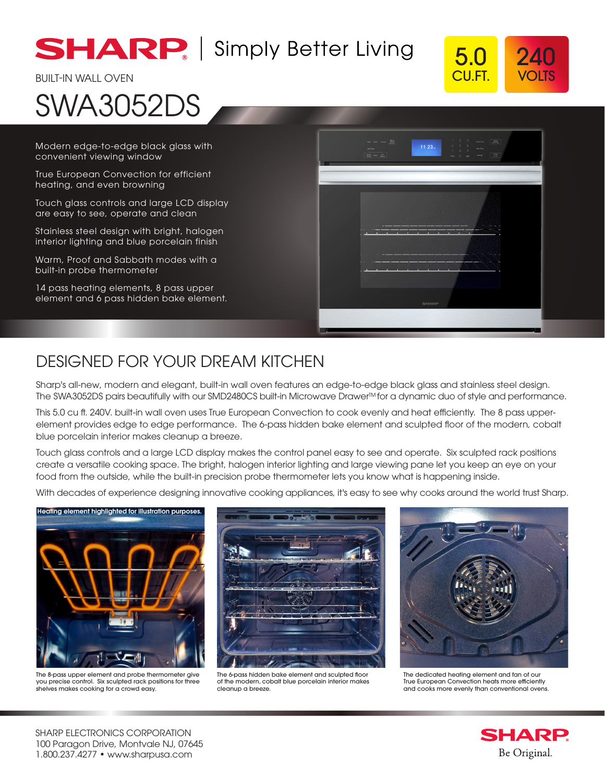

## **SHARP** Simply Better Living



# SWA3052DS

Modern edge-to-edge black glass with convenient viewing window

True European Convection for efficient heating, and even browning

Touch glass controls and large LCD display are easy to see, operate and clean

Stainless steel design with bright, halogen interior lighting and blue porcelain finish

Warm, Proof and Sabbath modes with a built-in probe thermometer

14 pass heating elements, 8 pass upper element and 6 pass hidden bake element.

| $1 \qquad 2 \qquad 3$<br>$\frac{2500}{\pi^{2000} \nu}$<br>$-8\alpha\epsilon-8\alpha\delta=0 \mbox{const} -\frac{40\pi n}{\beta\alpha\gamma\delta\alpha\delta}$<br>Cook Time<br>$\mathbf{4} \qquad \mathbf{5} \qquad \mathbf{6}$<br>1123 <sub>n</sub><br>Self Clean<br>Stat Time<br>789<br>$\begin{tabular}{ c c c c } \hline & \text{finite} & \text{M\'e} & \text{Al} \\ \hline \text{Gumb} & \text{M\'e} & \text{O} & \text{O} \\ \hline \end{tabular}$<br>$\begin{array}{ c } \hline 1\text{TOP} \\ \hline 0.048 \\ \hline \end{array}$<br>$\mathop{\mathrm{Ising}}$<br>Teer 0 kips |
|----------------------------------------------------------------------------------------------------------------------------------------------------------------------------------------------------------------------------------------------------------------------------------------------------------------------------------------------------------------------------------------------------------------------------------------------------------------------------------------------------------------------------------------------------------------------------------------|
|                                                                                                                                                                                                                                                                                                                                                                                                                                                                                                                                                                                        |
|                                                                                                                                                                                                                                                                                                                                                                                                                                                                                                                                                                                        |
| <b>DO</b><br>$\sim$<br><b>COLL</b><br>×.<br>×<br>- 13<br><b>PORT</b><br><b>COL</b><br>в<br>٠<br>m                                                                                                                                                                                                                                                                                                                                                                                                                                                                                      |
| <b>COL</b><br>×<br>о<br>o<br>о<br>в<br>۰<br>۰<br>٠<br>٠                                                                                                                                                                                                                                                                                                                                                                                                                                                                                                                                |
| SHARP                                                                                                                                                                                                                                                                                                                                                                                                                                                                                                                                                                                  |
|                                                                                                                                                                                                                                                                                                                                                                                                                                                                                                                                                                                        |

### DESIGNED FOR YOUR DREAM KITCHEN

Sharp's all-new, modern and elegant, built-in wall oven features an edge-to-edge black glass and stainless steel design. The SWA3052DS pairs beautifully with our SMD2480CS built-in Microwave Drawer<sup>TM</sup> for a dynamic duo of style and performance.

This 5.0 cu ft. 240V. built-in wall oven uses True European Convection to cook evenly and heat efficiently. The 8 pass upperelement provides edge to edge performance. The 6-pass hidden bake element and sculpted floor of the modern, cobalt blue porcelain interior makes cleanup a breeze.

Touch glass controls and a large LCD display makes the control panel easy to see and operate. Six sculpted rack positions create a versatile cooking space. The bright, halogen interior lighting and large viewing pane let you keep an eye on your food from the outside, while the built-in precision probe thermometer lets you know what is happening inside.

With decades of experience designing innovative cooking appliances, it's easy to see why cooks around the world trust Sharp.



The 8-pass upper element and probe thermometer give you precise control. Six sculpted rack positions for three shelves makes cooking for a crowd easy.



The 6-pass hidden bake element and sculpted floor of the modern, cobalt blue porcelain interior makes cleanup a breeze.



The dedicated heating element and fan of our True European Convection heats more efficiently and cooks more evenly than conventional ovens.